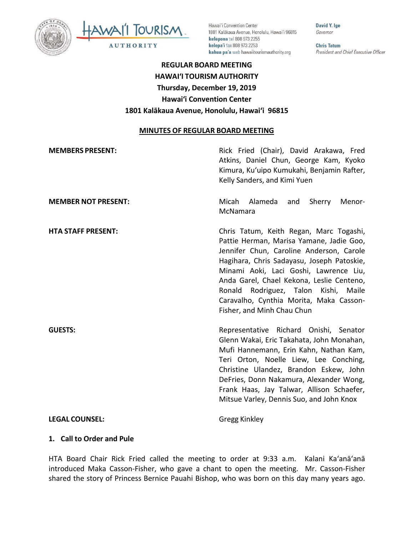



Hawai'i Convention Center 1801 Kalākaua Avenue, Honolulu, Hawai'i 96815 kelepona tel 808 973 2255 kelepa'i fax 808 973 2253 kahua pa'a web hawaiitourismauthority.org

David Y. Ige Governor

**Chris Tatum** President and Chief Executive Officer

# **REGULAR BOARD MEETING HAWAI'I TOURISM AUTHORITY Thursday, December 19, 2019 Hawai'i Convention Center 1801 Kalākaua Avenue, Honolulu, Hawai'i 96815**

#### **MINUTES OF REGULAR BOARD MEETING**

| Kelly Sanders, and Kimi Yuen                                                                                                                                                                                                                                                                                                                                                          |
|---------------------------------------------------------------------------------------------------------------------------------------------------------------------------------------------------------------------------------------------------------------------------------------------------------------------------------------------------------------------------------------|
| Micah Alameda<br>Sherry<br>and<br>Menor-<br>McNamara                                                                                                                                                                                                                                                                                                                                  |
| Chris Tatum, Keith Regan, Marc Togashi,<br>Pattie Herman, Marisa Yamane, Jadie Goo,<br>Jennifer Chun, Caroline Anderson, Carole<br>Hagihara, Chris Sadayasu, Joseph Patoskie,<br>Minami Aoki, Laci Goshi, Lawrence Liu,<br>Anda Garel, Chael Kekona, Leslie Centeno,<br>Ronald Rodriguez, Talon Kishi, Maile<br>Caravalho, Cynthia Morita, Maka Casson-<br>Fisher, and Minh Chau Chun |
| Representative Richard Onishi, Senator<br>Glenn Wakai, Eric Takahata, John Monahan,<br>Mufi Hannemann, Erin Kahn, Nathan Kam,<br>Teri Orton, Noelle Liew, Lee Conching,<br>Christine Ulandez, Brandon Eskew, John<br>DeFries, Donn Nakamura, Alexander Wong,<br>Frank Haas, Jay Talwar, Allison Schaefer,<br>Mitsue Varley, Dennis Suo, and John Knox                                 |
|                                                                                                                                                                                                                                                                                                                                                                                       |

# **LEGAL COUNSEL:** Gregg Kinkley

# **1. Call to Order and Pule**

HTA Board Chair Rick Fried called the meeting to order at 9:33 a.m. Kalani Ka'anā'anā introduced Maka Casson-Fisher, who gave a chant to open the meeting. Mr. Casson-Fisher shared the story of Princess Bernice Pauahi Bishop, who was born on this day many years ago.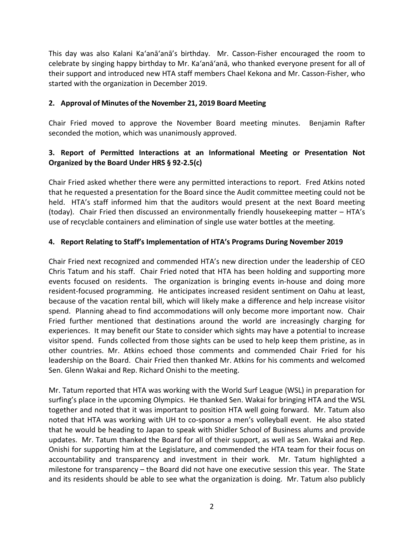This day was also Kalani Ka'anā'anā's birthday. Mr. Casson-Fisher encouraged the room to celebrate by singing happy birthday to Mr. Ka'anā'anā, who thanked everyone present for all of their support and introduced new HTA staff members Chael Kekona and Mr. Casson-Fisher, who started with the organization in December 2019.

#### **2. Approval of Minutes of the November 21, 2019 Board Meeting**

Chair Fried moved to approve the November Board meeting minutes. Benjamin Rafter seconded the motion, which was unanimously approved.

# **3. Report of Permitted Interactions at an Informational Meeting or Presentation Not Organized by the Board Under HRS § 92-2.5(c)**

Chair Fried asked whether there were any permitted interactions to report. Fred Atkins noted that he requested a presentation for the Board since the Audit committee meeting could not be held. HTA's staff informed him that the auditors would present at the next Board meeting (today). Chair Fried then discussed an environmentally friendly housekeeping matter – HTA's use of recyclable containers and elimination of single use water bottles at the meeting.

# **4. Report Relating to Staff's Implementation of HTA's Programs During November 2019**

Chair Fried next recognized and commended HTA's new direction under the leadership of CEO Chris Tatum and his staff. Chair Fried noted that HTA has been holding and supporting more events focused on residents. The organization is bringing events in-house and doing more resident-focused programming. He anticipates increased resident sentiment on Oahu at least, because of the vacation rental bill, which will likely make a difference and help increase visitor spend. Planning ahead to find accommodations will only become more important now. Chair Fried further mentioned that destinations around the world are increasingly charging for experiences. It may benefit our State to consider which sights may have a potential to increase visitor spend. Funds collected from those sights can be used to help keep them pristine, as in other countries. Mr. Atkins echoed those comments and commended Chair Fried for his leadership on the Board. Chair Fried then thanked Mr. Atkins for his comments and welcomed Sen. Glenn Wakai and Rep. Richard Onishi to the meeting.

Mr. Tatum reported that HTA was working with the World Surf League (WSL) in preparation for surfing's place in the upcoming Olympics. He thanked Sen. Wakai for bringing HTA and the WSL together and noted that it was important to position HTA well going forward. Mr. Tatum also noted that HTA was working with UH to co-sponsor a men's volleyball event. He also stated that he would be heading to Japan to speak with Shidler School of Business alums and provide updates. Mr. Tatum thanked the Board for all of their support, as well as Sen. Wakai and Rep. Onishi for supporting him at the Legislature, and commended the HTA team for their focus on accountability and transparency and investment in their work. Mr. Tatum highlighted a milestone for transparency – the Board did not have one executive session this year. The State and its residents should be able to see what the organization is doing. Mr. Tatum also publicly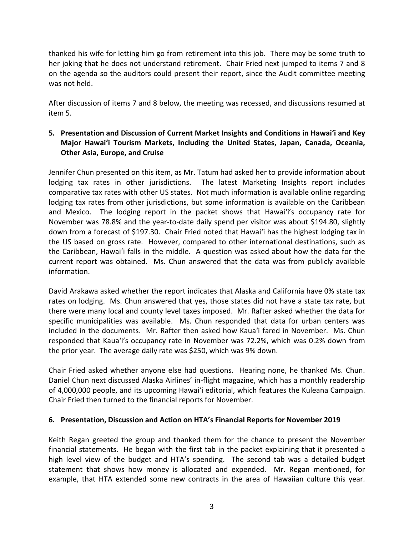thanked his wife for letting him go from retirement into this job. There may be some truth to her joking that he does not understand retirement. Chair Fried next jumped to items 7 and 8 on the agenda so the auditors could present their report, since the Audit committee meeting was not held.

After discussion of items 7 and 8 below, the meeting was recessed, and discussions resumed at item 5.

**5. Presentation and Discussion of Current Market Insights and Conditions in Hawaiʻi and Key Major Hawaiʻi Tourism Markets, Including the United States, Japan, Canada, Oceania, Other Asia, Europe, and Cruise**

Jennifer Chun presented on this item, as Mr. Tatum had asked her to provide information about lodging tax rates in other jurisdictions. The latest Marketing Insights report includes comparative tax rates with other US states. Not much information is available online regarding lodging tax rates from other jurisdictions, but some information is available on the Caribbean and Mexico. The lodging report in the packet shows that Hawaiʻi's occupancy rate for November was 78.8% and the year-to-date daily spend per visitor was about \$194.80, slightly down from a forecast of \$197.30. Chair Fried noted that Hawaiʻi has the highest lodging tax in the US based on gross rate. However, compared to other international destinations, such as the Caribbean, Hawaiʻi falls in the middle. A question was asked about how the data for the current report was obtained. Ms. Chun answered that the data was from publicly available information.

David Arakawa asked whether the report indicates that Alaska and California have 0% state tax rates on lodging. Ms. Chun answered that yes, those states did not have a state tax rate, but there were many local and county level taxes imposed. Mr. Rafter asked whether the data for specific municipalities was available. Ms. Chun responded that data for urban centers was included in the documents. Mr. Rafter then asked how Kauaʻi fared in November. Ms. Chun responded that Kauaʻi's occupancy rate in November was 72.2%, which was 0.2% down from the prior year. The average daily rate was \$250, which was 9% down.

Chair Fried asked whether anyone else had questions. Hearing none, he thanked Ms. Chun. Daniel Chun next discussed Alaska Airlines' in-flight magazine, which has a monthly readership of 4,000,000 people, and its upcoming Hawaiʻi editorial, which features the Kuleana Campaign. Chair Fried then turned to the financial reports for November.

# **6. Presentation, Discussion and Action on HTA's Financial Reports for November 2019**

Keith Regan greeted the group and thanked them for the chance to present the November financial statements. He began with the first tab in the packet explaining that it presented a high level view of the budget and HTA's spending. The second tab was a detailed budget statement that shows how money is allocated and expended. Mr. Regan mentioned, for example, that HTA extended some new contracts in the area of Hawaiian culture this year.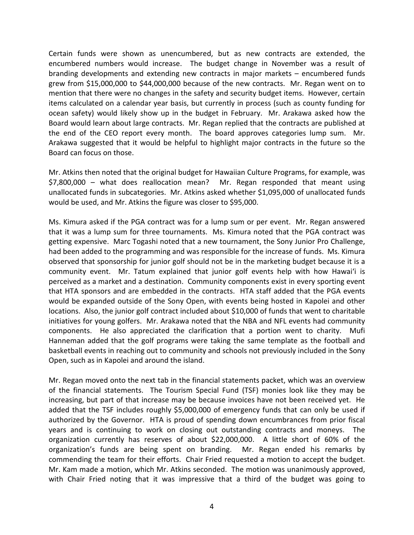Certain funds were shown as unencumbered, but as new contracts are extended, the encumbered numbers would increase. The budget change in November was a result of branding developments and extending new contracts in major markets – encumbered funds grew from \$15,000,000 to \$44,000,000 because of the new contracts. Mr. Regan went on to mention that there were no changes in the safety and security budget items. However, certain items calculated on a calendar year basis, but currently in process (such as county funding for ocean safety) would likely show up in the budget in February. Mr. Arakawa asked how the Board would learn about large contracts. Mr. Regan replied that the contracts are published at the end of the CEO report every month. The board approves categories lump sum. Mr. Arakawa suggested that it would be helpful to highlight major contracts in the future so the Board can focus on those.

Mr. Atkins then noted that the original budget for Hawaiian Culture Programs, for example, was \$7,800,000 – what does reallocation mean? Mr. Regan responded that meant using unallocated funds in subcategories. Mr. Atkins asked whether \$1,095,000 of unallocated funds would be used, and Mr. Atkins the figure was closer to \$95,000.

Ms. Kimura asked if the PGA contract was for a lump sum or per event. Mr. Regan answered that it was a lump sum for three tournaments. Ms. Kimura noted that the PGA contract was getting expensive. Marc Togashi noted that a new tournament, the Sony Junior Pro Challenge, had been added to the programming and was responsible for the increase of funds. Ms. Kimura observed that sponsorship for junior golf should not be in the marketing budget because it is a community event. Mr. Tatum explained that junior golf events help with how Hawaiʻi is perceived as a market and a destination. Community components exist in every sporting event that HTA sponsors and are embedded in the contracts. HTA staff added that the PGA events would be expanded outside of the Sony Open, with events being hosted in Kapolei and other locations. Also, the junior golf contract included about \$10,000 of funds that went to charitable initiatives for young golfers. Mr. Arakawa noted that the NBA and NFL events had community components. He also appreciated the clarification that a portion went to charity. Mufi Hanneman added that the golf programs were taking the same template as the football and basketball events in reaching out to community and schools not previously included in the Sony Open, such as in Kapolei and around the island.

Mr. Regan moved onto the next tab in the financial statements packet, which was an overview of the financial statements. The Tourism Special Fund (TSF) monies look like they may be increasing, but part of that increase may be because invoices have not been received yet. He added that the TSF includes roughly \$5,000,000 of emergency funds that can only be used if authorized by the Governor. HTA is proud of spending down encumbrances from prior fiscal years and is continuing to work on closing out outstanding contracts and moneys. The organization currently has reserves of about \$22,000,000. A little short of 60% of the organization's funds are being spent on branding. Mr. Regan ended his remarks by commending the team for their efforts. Chair Fried requested a motion to accept the budget. Mr. Kam made a motion, which Mr. Atkins seconded. The motion was unanimously approved, with Chair Fried noting that it was impressive that a third of the budget was going to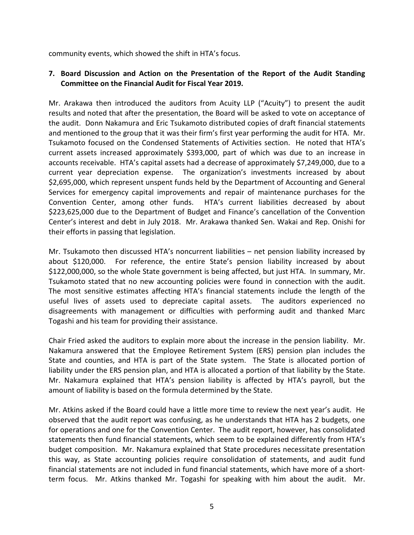community events, which showed the shift in HTA's focus.

# **7. Board Discussion and Action on the Presentation of the Report of the Audit Standing Committee on the Financial Audit for Fiscal Year 2019.**

Mr. Arakawa then introduced the auditors from Acuity LLP ("Acuity") to present the audit results and noted that after the presentation, the Board will be asked to vote on acceptance of the audit. Donn Nakamura and Eric Tsukamoto distributed copies of draft financial statements and mentioned to the group that it was their firm's first year performing the audit for HTA. Mr. Tsukamoto focused on the Condensed Statements of Activities section. He noted that HTA's current assets increased approximately \$393,000, part of which was due to an increase in accounts receivable. HTA's capital assets had a decrease of approximately \$7,249,000, due to a current year depreciation expense. The organization's investments increased by about \$2,695,000, which represent unspent funds held by the Department of Accounting and General Services for emergency capital improvements and repair of maintenance purchases for the Convention Center, among other funds. HTA's current liabilities decreased by about \$223,625,000 due to the Department of Budget and Finance's cancellation of the Convention Center's interest and debt in July 2018. Mr. Arakawa thanked Sen. Wakai and Rep. Onishi for their efforts in passing that legislation.

Mr. Tsukamoto then discussed HTA's noncurrent liabilities – net pension liability increased by about \$120,000. For reference, the entire State's pension liability increased by about \$122,000,000, so the whole State government is being affected, but just HTA. In summary, Mr. Tsukamoto stated that no new accounting policies were found in connection with the audit. The most sensitive estimates affecting HTA's financial statements include the length of the useful lives of assets used to depreciate capital assets. The auditors experienced no disagreements with management or difficulties with performing audit and thanked Marc Togashi and his team for providing their assistance.

Chair Fried asked the auditors to explain more about the increase in the pension liability. Mr. Nakamura answered that the Employee Retirement System (ERS) pension plan includes the State and counties, and HTA is part of the State system. The State is allocated portion of liability under the ERS pension plan, and HTA is allocated a portion of that liability by the State. Mr. Nakamura explained that HTA's pension liability is affected by HTA's payroll, but the amount of liability is based on the formula determined by the State.

Mr. Atkins asked if the Board could have a little more time to review the next year's audit. He observed that the audit report was confusing, as he understands that HTA has 2 budgets, one for operations and one for the Convention Center. The audit report, however, has consolidated statements then fund financial statements, which seem to be explained differently from HTA's budget composition. Mr. Nakamura explained that State procedures necessitate presentation this way, as State accounting policies require consolidation of statements, and audit fund financial statements are not included in fund financial statements, which have more of a shortterm focus. Mr. Atkins thanked Mr. Togashi for speaking with him about the audit. Mr.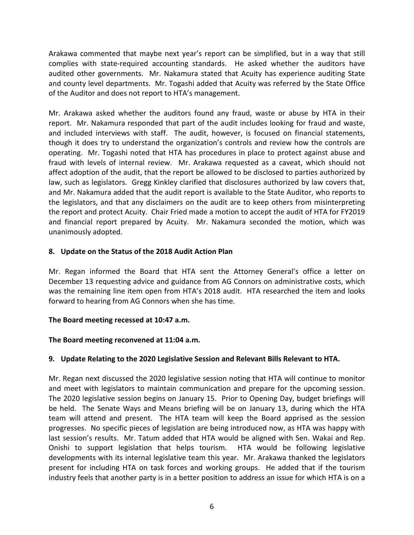Arakawa commented that maybe next year's report can be simplified, but in a way that still complies with state-required accounting standards. He asked whether the auditors have audited other governments. Mr. Nakamura stated that Acuity has experience auditing State and county level departments. Mr. Togashi added that Acuity was referred by the State Office of the Auditor and does not report to HTA's management.

Mr. Arakawa asked whether the auditors found any fraud, waste or abuse by HTA in their report. Mr. Nakamura responded that part of the audit includes looking for fraud and waste, and included interviews with staff. The audit, however, is focused on financial statements, though it does try to understand the organization's controls and review how the controls are operating. Mr. Togashi noted that HTA has procedures in place to protect against abuse and fraud with levels of internal review. Mr. Arakawa requested as a caveat, which should not affect adoption of the audit, that the report be allowed to be disclosed to parties authorized by law, such as legislators. Gregg Kinkley clarified that disclosures authorized by law covers that, and Mr. Nakamura added that the audit report is available to the State Auditor, who reports to the legislators, and that any disclaimers on the audit are to keep others from misinterpreting the report and protect Acuity. Chair Fried made a motion to accept the audit of HTA for FY2019 and financial report prepared by Acuity. Mr. Nakamura seconded the motion, which was unanimously adopted.

# **8. Update on the Status of the 2018 Audit Action Plan**

Mr. Regan informed the Board that HTA sent the Attorney General's office a letter on December 13 requesting advice and guidance from AG Connors on administrative costs, which was the remaining line item open from HTA's 2018 audit. HTA researched the item and looks forward to hearing from AG Connors when she has time.

# **The Board meeting recessed at 10:47 a.m.**

# **The Board meeting reconvened at 11:04 a.m.**

# **9. Update Relating to the 2020 Legislative Session and Relevant Bills Relevant to HTA.**

Mr. Regan next discussed the 2020 legislative session noting that HTA will continue to monitor and meet with legislators to maintain communication and prepare for the upcoming session. The 2020 legislative session begins on January 15. Prior to Opening Day, budget briefings will be held. The Senate Ways and Means briefing will be on January 13, during which the HTA team will attend and present. The HTA team will keep the Board apprised as the session progresses. No specific pieces of legislation are being introduced now, as HTA was happy with last session's results. Mr. Tatum added that HTA would be aligned with Sen. Wakai and Rep. Onishi to support legislation that helps tourism. HTA would be following legislative developments with its internal legislative team this year. Mr. Arakawa thanked the legislators present for including HTA on task forces and working groups. He added that if the tourism industry feels that another party is in a better position to address an issue for which HTA is on a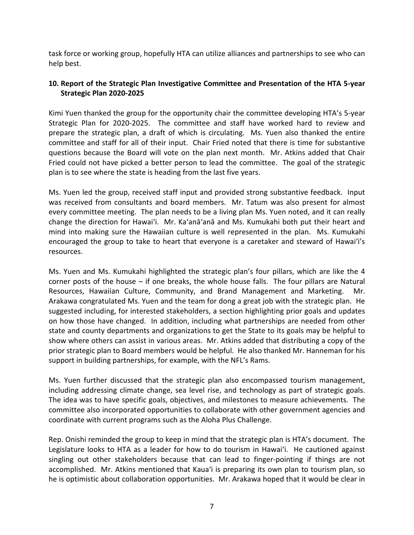task force or working group, hopefully HTA can utilize alliances and partnerships to see who can help best.

# **10. Report of the Strategic Plan Investigative Committee and Presentation of the HTA 5-year Strategic Plan 2020-2025**

Kimi Yuen thanked the group for the opportunity chair the committee developing HTA's 5-year Strategic Plan for 2020-2025. The committee and staff have worked hard to review and prepare the strategic plan, a draft of which is circulating. Ms. Yuen also thanked the entire committee and staff for all of their input. Chair Fried noted that there is time for substantive questions because the Board will vote on the plan next month. Mr. Atkins added that Chair Fried could not have picked a better person to lead the committee. The goal of the strategic plan is to see where the state is heading from the last five years.

Ms. Yuen led the group, received staff input and provided strong substantive feedback. Input was received from consultants and board members. Mr. Tatum was also present for almost every committee meeting. The plan needs to be a living plan Ms. Yuen noted, and it can really change the direction for Hawaiʻi. Mr. Ka'anā'anā and Ms. Kumukahi both put their heart and mind into making sure the Hawaiian culture is well represented in the plan. Ms. Kumukahi encouraged the group to take to heart that everyone is a caretaker and steward of Hawaiʻi's resources.

Ms. Yuen and Ms. Kumukahi highlighted the strategic plan's four pillars, which are like the 4 corner posts of the house – if one breaks, the whole house falls. The four pillars are Natural Resources, Hawaiian Culture, Community, and Brand Management and Marketing. Mr. Arakawa congratulated Ms. Yuen and the team for dong a great job with the strategic plan. He suggested including, for interested stakeholders, a section highlighting prior goals and updates on how those have changed. In addition, including what partnerships are needed from other state and county departments and organizations to get the State to its goals may be helpful to show where others can assist in various areas. Mr. Atkins added that distributing a copy of the prior strategic plan to Board members would be helpful. He also thanked Mr. Hanneman for his support in building partnerships, for example, with the NFL's Rams.

Ms. Yuen further discussed that the strategic plan also encompassed tourism management, including addressing climate change, sea level rise, and technology as part of strategic goals. The idea was to have specific goals, objectives, and milestones to measure achievements. The committee also incorporated opportunities to collaborate with other government agencies and coordinate with current programs such as the Aloha Plus Challenge.

Rep. Onishi reminded the group to keep in mind that the strategic plan is HTA's document. The Legislature looks to HTA as a leader for how to do tourism in Hawaiʻi. He cautioned against singling out other stakeholders because that can lead to finger-pointing if things are not accomplished. Mr. Atkins mentioned that Kauaʻi is preparing its own plan to tourism plan, so he is optimistic about collaboration opportunities. Mr. Arakawa hoped that it would be clear in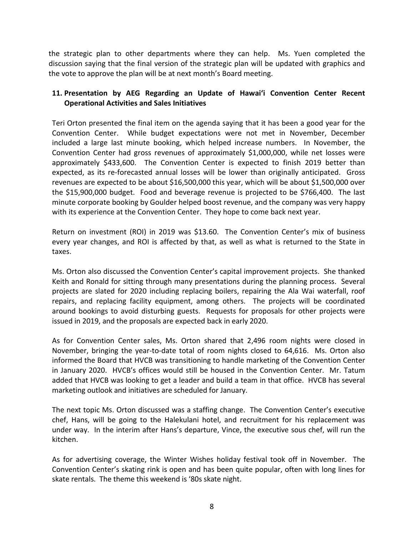the strategic plan to other departments where they can help. Ms. Yuen completed the discussion saying that the final version of the strategic plan will be updated with graphics and the vote to approve the plan will be at next month's Board meeting.

# **11. Presentation by AEG Regarding an Update of Hawai'i Convention Center Recent Operational Activities and Sales Initiatives**

Teri Orton presented the final item on the agenda saying that it has been a good year for the Convention Center. While budget expectations were not met in November, December included a large last minute booking, which helped increase numbers. In November, the Convention Center had gross revenues of approximately \$1,000,000, while net losses were approximately \$433,600. The Convention Center is expected to finish 2019 better than expected, as its re-forecasted annual losses will be lower than originally anticipated. Gross revenues are expected to be about \$16,500,000 this year, which will be about \$1,500,000 over the \$15,900,000 budget. Food and beverage revenue is projected to be \$766,400. The last minute corporate booking by Goulder helped boost revenue, and the company was very happy with its experience at the Convention Center. They hope to come back next year.

Return on investment (ROI) in 2019 was \$13.60. The Convention Center's mix of business every year changes, and ROI is affected by that, as well as what is returned to the State in taxes.

Ms. Orton also discussed the Convention Center's capital improvement projects. She thanked Keith and Ronald for sitting through many presentations during the planning process. Several projects are slated for 2020 including replacing boilers, repairing the Ala Wai waterfall, roof repairs, and replacing facility equipment, among others. The projects will be coordinated around bookings to avoid disturbing guests. Requests for proposals for other projects were issued in 2019, and the proposals are expected back in early 2020.

As for Convention Center sales, Ms. Orton shared that 2,496 room nights were closed in November, bringing the year-to-date total of room nights closed to 64,616. Ms. Orton also informed the Board that HVCB was transitioning to handle marketing of the Convention Center in January 2020. HVCB's offices would still be housed in the Convention Center. Mr. Tatum added that HVCB was looking to get a leader and build a team in that office. HVCB has several marketing outlook and initiatives are scheduled for January.

The next topic Ms. Orton discussed was a staffing change. The Convention Center's executive chef, Hans, will be going to the Halekulani hotel, and recruitment for his replacement was under way. In the interim after Hans's departure, Vince, the executive sous chef, will run the kitchen.

As for advertising coverage, the Winter Wishes holiday festival took off in November. The Convention Center's skating rink is open and has been quite popular, often with long lines for skate rentals. The theme this weekend is '80s skate night.